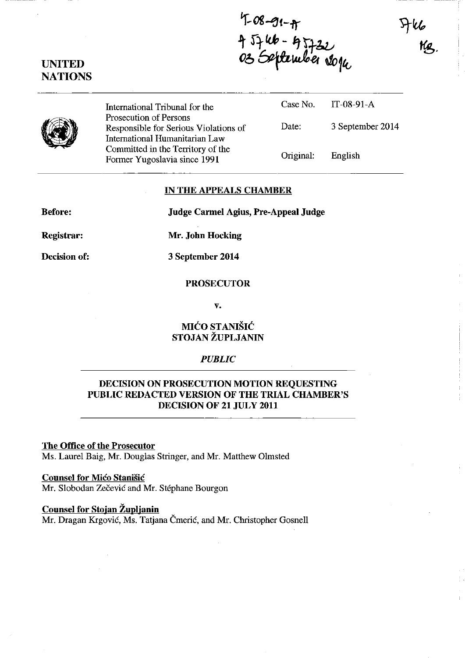$4 - 08 - 91 - 4$ <br>4  $5746 - 45722$ <br>03 September 2014



UNITED **NATIONS** 

> International Tribunal for the Prosecution of Persons Responsible for Serious Violations of International Humanitarian Law Committed in the Territory of the Former Yugoslavia since 1991

| Original: | English          |
|-----------|------------------|
| Date:     | 3 September 2014 |
| Case No.  | IT-08-91-A       |

#### IN THE APPEALS CHAMBER

Before:

Judge Carmel Agius, Pre-Appeal Judge

Registrar:

Mr. John Hocking

Decision of:

3 September 2014

# PROSECUTOR

v.

# MIĆO STANIŠIĆ STOJAN ZUPLJANIN

# *PUBLIC*

# DECISION ON PROSECUTION MOTION REQUESTING PUBLIC REDACTED VERSION OF THE TRIAL CHAMBER'S DECISION OF 21 JULY 2011

The Office of the Prosecutor Ms. Laurel Baig, Mr. Douglas Stringer, and Mr. Matthew Olmsted

# **Counsel for Mico Stanišic**

Mr. Slobodan Zečević and Mr. Stéphane Bourgon

#### Counsel for Stojan Zuplianin

Mr. Dragan Krgović, Ms. Tatjana Čmerić, and Mr. Christopher Gosnell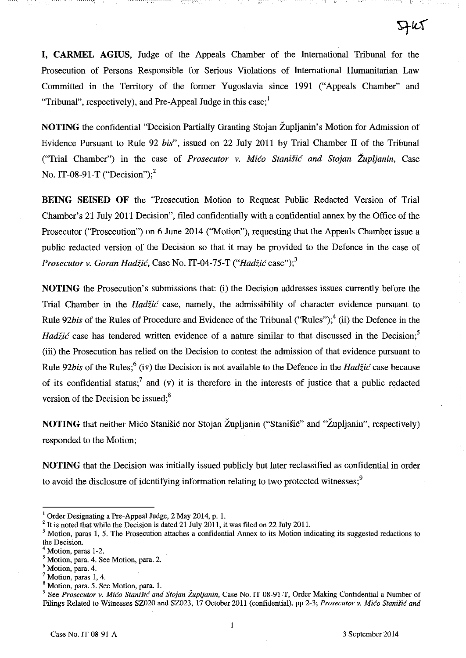**I, CARMEL AGIUS,** Judge of the Appeals Chamber of the International Tribunal for the Prosecution of Persons Responsible for Serious Violations of International Humanitarian Law Committed in the Territory of the former Yugoslavia since 1991 ("Appeals Chamber" and "Tribunal", respectively), and Pre-Appeal Judge in this case;'

**NOTING** the confidential "Decision Partially Granting Stojan Župljanin's Motion for Admission of Evidence Pursuant to Rule 92 *bis",* issued on 22 July 2011 by Trial Chamber IT of the Tribunal ("Trial Chamber") in the case of *Prosecutor* v. *Mico Stanisic and Stojan Zupljanin,* Case No. IT-08-91-T ("Decision");<sup>2</sup>

**BEING SEISED OF** the "Prosecution Motion to Request Public Redacted Version of Trial Chamber's 21 July 2011 Decision", filed confidentially with a confidential annex by the Office of the Prosecutor ("Prosecution") on 6 June 2014 ("Motion"), requesting that the Appeals Chamber issue a public redacted version of the Decision so that it may be provided to the Defence in the case of *Prosecutor v. Goran Hadžić, Case No. IT-04-75-T ("Hadžić case");*<sup>3</sup>

**NOTING** the Prosecution's submissions that: (i) the Decision addresses issues currently before the Trial Chamber in the *Had£ic* case, namely, the admissibility of character evidence pursuant to Rule 92*bis* of the Rules of Procedure and Evidence of the Tribunal ("Rules");<sup>4</sup> (ii) the Defence in the *Hadžić* case has tendered written evidence of a nature similar to that discussed in the Decision;<sup>5</sup> (iii) the Prosecution has relied on the Decision to contest the admission of that evidence pursuant to Rule 92*bis* of the Rules;<sup>6</sup> (iv) the Decision is not available to the Defence in the *Hadžić* case because of its confidential status;<sup>7</sup> and (v) it is therefore in the interests of justice that a public redacted version of the Decision be issued; $8<sup>8</sup>$ 

**NOTING** that neither Mico Stanišic nor Stojan Župljanin ("Stanišic" and "Župljanin", respectively) responded to the Motion;

**NOTING** that the Decision was initially issued publicly but later reclassified as confidential in order to avoid the disclosure of identifying information relating to two protected witnesses:<sup>9</sup>

<sup>&</sup>lt;sup>1</sup> Order Designating a Pre-Appeal Judge, 2 May 2014, p. 1.

 $2$  It is noted that while the Decision is dated 21 July 2011, it was filed on 22 July 2011.

<sup>&</sup>lt;sup>3</sup> Motion, paras 1, 5. The Prosecution attaches a confidential Annex to its Motion indicating its suggested redactions to the Decision.

Motion, paras 1-2.

<sup>&</sup>lt;sup>5</sup> Motion, para. 4. See Motion, para. 2.

<sup>6</sup> Motion, para. 4.

**<sup>7</sup> Motion, paras 1,4.** 

<sup>&</sup>lt;sup>8</sup> Motion, para. 5. See Motion, para. 1.

<sup>&</sup>lt;sup>9</sup> See *Prosecutor v. Mićo Stanišić and Stojan Župljanin*, Case No. IT-08-91-T, Order Making Confidential a Number of Filings Related to Witnesses SZ020 and SZ023, 17 October 2011 (confidential), pp 2-3; Prosecutor v. Mićo Stanišić and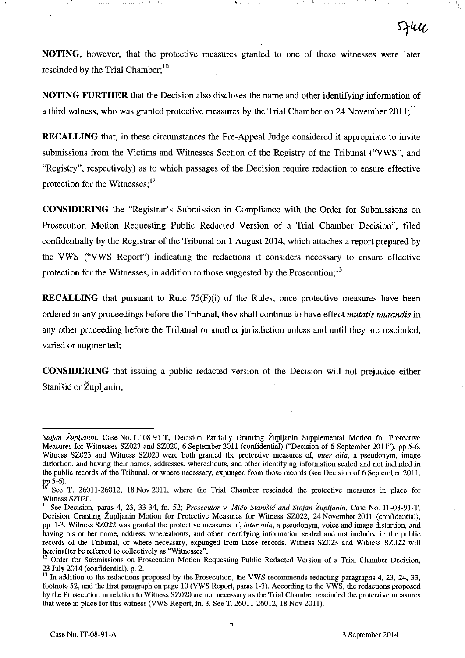**NOTING,** however, that the protective measures granted to one of these witnesses were later rescinded by the Trial Chamber;<sup>10</sup>

**NOTING FURTHER** that the Decision also discloses the name and other identifying information of a third witness, who was granted protective measures by the Trial Chamber on 24 November  $2011$ ;<sup>11</sup>

**RECALLING** that, in these circumstances the Pre-Appeal Judge considered it appropriate to invite submissions from the Victims and Witnesses Section of the Registry of the Tribunal ("VWS", and "Registry", respectively) as to which passages of the Decision require redaction to ensure effective protection for the Witnesses;<sup>12</sup>

**CONSIDERING** the "Registrar's Submission in Compliance with the Order for Submissions on Prosecution Motion Requesting Public Redacted Version of a Trial Chamber Decision", filed confidentially by the Registrar of the Tribunal on 1 August 2014, which attaches a report prepared by the VWS ("VWS Report") indicating the redactions it considers necessary to ensure effective protection for the Witnesses, in addition to those suggested by the Prosecution;<sup>13</sup>

**RECALLING** that pursuant to Rule 75(F)(i) of the Rules, once protective measures have been ordered in any proceedings before the Tribunal, they shall continue to have effect *mutatis mutandis* in any other proceeding before the Tribunal or another jurisdiction unless and until they are rescinded, varied or augmented;

**CONSIDERING** that issuing a public redacted version of the Decision will not prejudice either Stanišić or Župljanin;

*Stojan Zupljanin,* Case No. IT-08-91-T, Decision Partially Granting Zupljanin Supplemental Motion for Protective Measures for Witnesses SZ023 and SZ020, 6 September 2011 (confidential) ("Decision of 6 September 2011"), pp 5-6. Witness SZ023 and Witness SZ020 were bolb granted the protective measures of, *inter alia,* a pseudonym, image **distortion, and having their names, addresses, whereabouts, and other identifying information sealed and not included in**  the public records of the Tribunal, or where necessary, expunged from those records (see Decision of 6 September 2011, p,p 5-6).

See T. 26011-26012, 18 Nov 2011, where the Trial Chamber rescinded the protective measures in place for Witness SZ020.

<sup>&</sup>lt;sup>11</sup> See Decision, paras 4, 23, 33-34, fn. 52; *Prosecutor v. Mićo Stanišić and Stojan Župljanin*, Case No. IT-08-91-T, Decision Granting Zupljanin Motion for Protective Measures for Witness SZ022, 24 November 2011 (confidential), **pp 1-3. Witness SZ022 was granted the protective measures of,** *inter alia,* **a pseudonym, voice and image distortion, and**  having his or her name, address, whereabouts, and other identifying information sealed and not included in the public records of the Tribunal, or where necessary, expunged from those records. Witness SZ023 and Witness SZ022 will **hereinafter be referred to collectively as "Witnesses".** 

**<sup>12</sup> Order for Submissions on Prosecution Motion Requesting Public Redacted Version of a Trial Chamber Decision,**  23 July 2014 (confidential), p. 2.

<sup>&</sup>lt;sup>13</sup> In addition to the redactions proposed by the Prosecution, the VWS recommends redacting paragraphs 4, 23, 24, 33, footnote 52, and the first paragraph on page 10 (VWS Report, paras 1-3). According to the VWS, the redactions proposed by the Prosecution in relation to Witness SZ020 are not necessary as the Trial Chamber rescinded the protective measures that were in place for this witness (VWS Report, fn. 3. See T. 26011-26012,18 Nov 2011).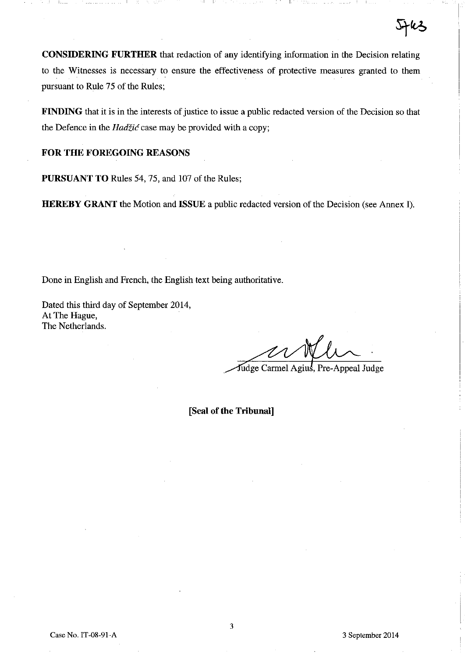**CONSIDERING FURTHER** that redaction of any identifying information in the Decision relating to the Witnesses is necessary to ensure the effectiveness of protective measures granted to them pursuant to Rule 75 of the Rules;

**FINDING** that it is in the interests of justice to issue a public redacted version of the Decision so that the Defence in the  $Had\zeta i\acute{c}$  case may be provided with a copy;

# **FOR THE FOREGOING REASONS**

**PURSUANT TO** Rules 54, 75, and 107 of the Rules;

**HEREBY GRANT** the Motion and **ISSUE** a public redacted version of the Decision (see Annex I).

Done in English and French, the English text being authoritative.

Dated this third day of September 2014, At **The** Hague, **The** Netherlands.

Judge Carmel Agius, Pre-Appeal Judge

**[Seal of the Tribunal]**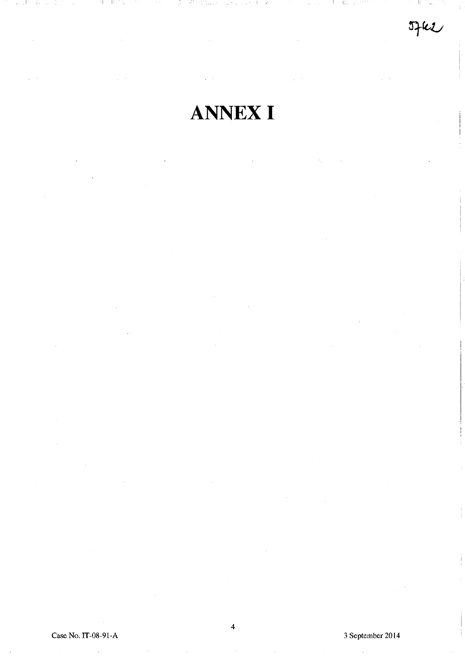الرابي  $\mathcal{G}_{\mathcal{C}}$ 전 고려

 $Jfkl$ 

# ANNEX I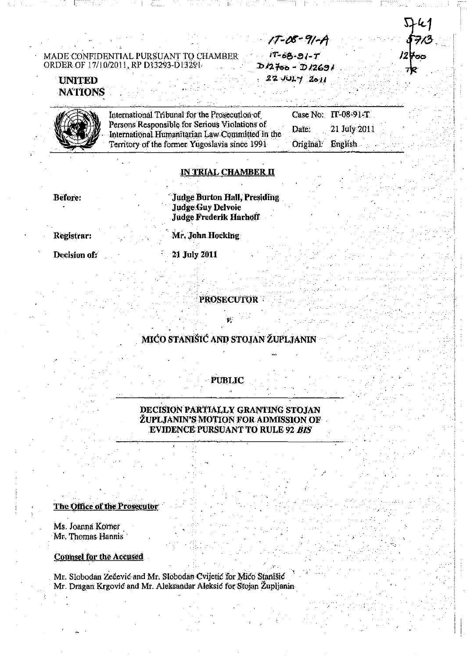$17 - 08 - 91 - A$  $17 - 68 - 91 - T$  $D/2700 - D/2691$  $22 - 101 - 2011$ 

 $LL1$ 

773

/2⊭੦੦

TO

# **UNITED NATIONS**

| International Tribunal for the Prosecution of   |                   | Case No: $IT-08-91-T$ |
|-------------------------------------------------|-------------------|-----------------------|
| Persons Responsible for Serious Violations of   | Date:             | 21 July 2011          |
| International Humanitarian Law Committed in the |                   |                       |
| Territory of the former Yugoslavia since 1991   | Original: English |                       |

#### <u>IN TRIAL CHAMBER II</u>

Before:

**Judge Burton Hall, Presiding Judge Guy Delvoie Judge Frederik Harhoff** 

Registrar:

Mr. John Hocking

21 July 2011

Decision of:

**PROSECUTOR** 

MICO STANIŠIĆ AND STOJAN ŽUPLJANIN

#### **PUBLIC**

DECISION PARTIALLY GRANTING STOJAN **ŽUPLJANIN'S MOTION FOR ADMISSION OF EVIDENCE PURSUANT TO RULE 92 BIS** 

The Office of the Prosecutor

Ms. Joanna Korner Mr. Thomas Hannis

**Counsel for the Accused** 

Mr. Slobodan Zečević and Mr. Slobodan Cvijetić for Mico Stanišić Mr. Dragan Krgović and Mr. Aleksandar Aleksić for Stojan Župljanin-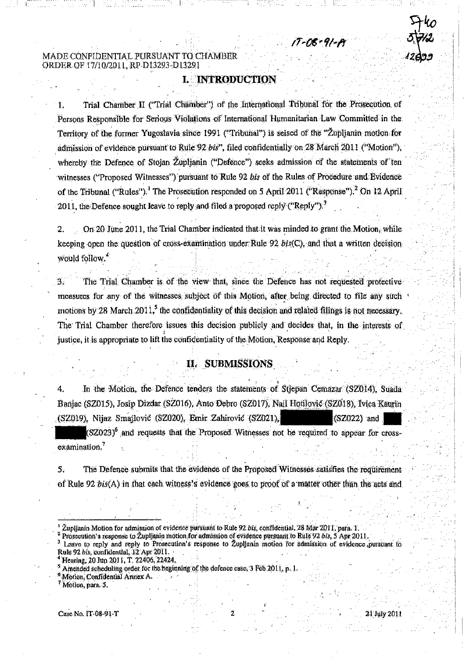# **I. INTRODUCTION**

T-06+91-1

Trial Chamber II ("Trial Chamber") of the International Tribunal for the Prosecution of Persons Responsible for Serious Violations of International Humanitarian Law Committed in the Territory of the former Yugoslavia since 1991 ("Tribunal") is seised of the "Zuplianin motion for admission of evidence pursuant to Rule 92 bis", filed confidentially on 28 March 2011 ("Motion"), whereby the Defence of Stojan Župljanin ("Defence") seeks admission of the statements of ten witnesses ("Proposed Witnesses") pursuant to Rule 92 bis of the Rules of Procedure and Evidence of the Tribunal ("Rules").<sup>1</sup> The Prosecution responded on 5 April 2011 ("Response").<sup>2</sup> On 12 April 2011, the Defence sought leave to reply and filed a proposed reply ("Reply").<sup>3</sup>

 $\overline{2}$ On 20 June 2011, the Trial Chamber indicated that it was minded to grant the Motion, while keeping open the question of cross-examination under Rule 92  $bis(C)$ , and that a written decision would follow.<sup>4</sup>

The Trial Chamber is of the view that, since the Defence has not requested protective  $3^{\circ}$ measures for any of the witnesses subject of this Motion, after being directed to file any such motions by 28 March  $2011<sup>5</sup>$  the confidentiality of this decision and related filings is not necessary. The Trial Chamber therefore issues this decision publicly and decides that, in the interests of justice, it is appropriate to lift the confidentiality of the Motion, Response and Reply.

# II. SUBMISSIONS

In the Motion, the Defence tenders the statements of Stjepan Cemazar (SZ014), Suada 4. Banjac (SZ015), Josip Dizdar (SZ016), Anto Đebro (SZ017), Nail Hotilovič (SZ018), Ivica Kaurin (SZ019), Nijaz Smallović (SZ020), Emir Zahirović (SZ021),  $(SZ022)$  and

 $(SZ023)^6$  and requests that the Proposed Witnesses not be required to appear for crossexamination.<sup>7</sup>

 $5.$ The Defence submits that the evidence of the Proposed Witnesses satisfies the requirement of Rule 92 bis(A) in that each witness's evidence goes to proof of a matter other than the acts and

Prosecution's response to Zupljanin motion for admission of evidence pursuant to Rule 92 bls, 5 Apr 2011.<br>Leave to reply and reply to Prosecution's response to Zupljanin motion for admission of evidence pursuant to Rule 92 bis, confidential, 12 Apr 2011.

Motion, Confidential Annex A.

<sup>/</sup> Motion, para. 5.

Župljanin Motion for admission of evidence pursuant to Rule 92 bis, confidential, 28 Mar 2011, para. 1.

Hearing, 20 Jun 2011, T. 22406, 22424.

<sup>&</sup>lt;sup>5</sup> Amended scheduling order for the beginning of the defence case, 3 Feb 2011, p. 1.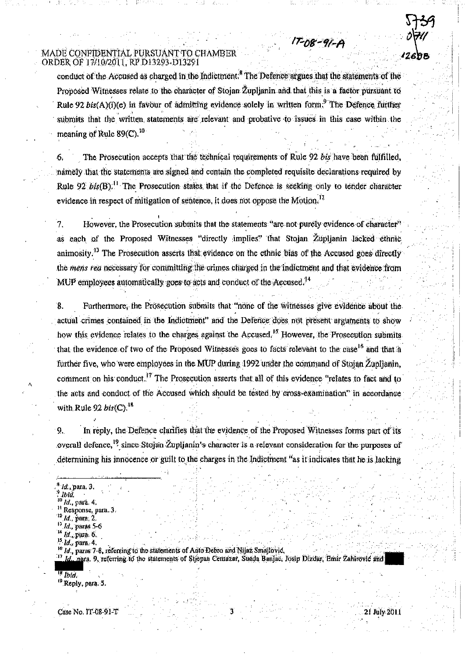MADE CONFIDENTIAL PURSUANT TO CHAMBER ORDER OF 17/10/2011, RP D13293-D13291

conduct of the Accused as charged in the Indictment.<sup>8</sup> The Defence argues that the statements of the Proposed Witnesses relate to the character of Stojan Župljanin and that this is a factor pursuant to Rule 92 bis(A)(i)(e) in favour of admitting evidence solely in written form.<sup>9</sup> The Defence further submits that the written statements are relevant and probative to issues in this case within the meaning of Rule  $89$ (C),  $^{10}$ 

17-08-91-A

The Prosecution accepts that the technical requirements of Rule 92 bis have been fulfilled. namely that the statements are signed and contain the completed requisite declarations required by Rule 92  $b\text{ is(B)}$ .<sup>[1</sup> The Prosecution states that if the Defence is seeking only to tender character evidence in respect of mitigation of sentence, it does not oppose the Motion.<sup>12</sup>

However, the Prosecution submits that the statements "are not purely evidence of character" 7. as each of the Proposed Witnesses "directly implies" that Stojan Župlianin lacked ethnic  $\text{animosity}$ <sup>13</sup> The Prosecution asserts that evidence on the ethnic bias of the Accused goes directly the mens rea necessary for committing the crimes charged in the indictment and that evidence from MUP employees automatically goes to acts and conduct of the Accused.<sup>14</sup>

 $\mathbf{8}$ . Furthermore, the Prosecution submits that "none of the witnesses give evidence about the actual crimes contained in the Indictment" and the Defence does not present arguments to show how this evidence relates to the charges against the Accused.<sup>15</sup> However, the Prosecution submits that the evidence of two of the Proposed Witnesses goes to facts relevant to the case<sup>16</sup> and that a further five, who were employees in the MUP during 1992 under the command of Stojan Župljanin. comment on his conduct.<sup>17</sup> The Prosecution asserts that all of this evidence "relates to fact and to the acts and conduct of the Accused which should be tested by cross-examination" in accordance with Rule 92  $bis(C)$ ,  $^{18}$ 

In reply, the Defence clarifies that the evidence of the Proposed Witnesses forms part of its  $9.$ overall defence, <sup>19</sup> since Stojan Zupljanin's character is a relevant consideration for the purposes of determining his innocence or guilt to the charges in the Indictment "as it indicates that he is lacking

Id., para 3.

Jbid.

Id., nara, 9, referring to the statements of Stjepan Cemazar, Suada Banjac, Josip Dizdar, Emir Zahlrović and -17

 $^{(9)}$  Reply, para. 5.

Case No. IT-08-91-T

Id., para. 4. Response, para. 3.

Id. para, 2.

<sup>&</sup>lt;sup>13</sup> Id., paras 5-6

 $14$   $ld$  para,  $6$ .

<sup>&</sup>lt;sup>15</sup> *ld.*, para, 4,

<sup>&</sup>lt;sup>16</sup> Id., paras 7-8, referring to the statements of Anto Debro and Nijaz Smajlović,

lbia.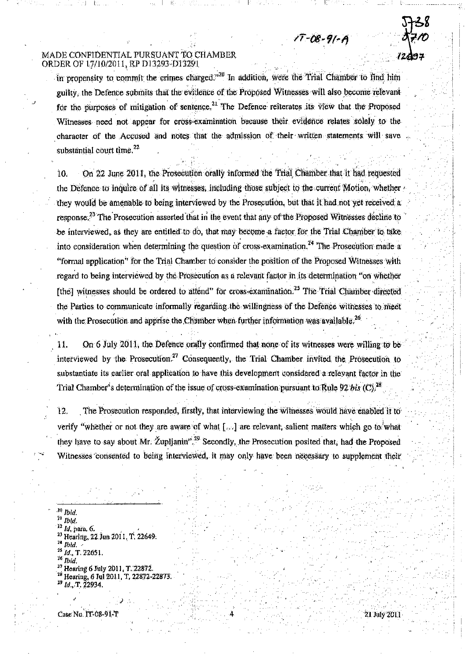in propensity to commit the crimes charged. $n^{20}$  In addition, were the Trial Chamber to find him ouilty, the Defence submits that the evidence of the Proposed Witnesses will also become relevant for the purposes of mitigation of sentence.<sup>21</sup> The Defence reiterates its view that the Proposed Witnesses need not appear for cross-examination because their evidence relates solely to the character of the Accused and notes that the admission of their written statements will save substantial court time.<sup>22</sup>

 $17 - 08 - 91 - A$ 

On 22 June 2011, the Prosecution orally informed the Trial Chamber that it had requested 10. the Defence to inquire of all its witnesses, including those subject to the current Motion, whether they would be amenable to being interviewed by the Prosecution, but that it had not yet received a response.<sup>23</sup> The Prosecution asserted that in the event that any of the Proposed Witnesses decline to be interviewed, as they are entitled to do, that may become a factor for the Trial Chamber to take into consideration when determining the question of cross-examination.<sup>24</sup> The Prosecution made a "formal application" for the Trial Chamber to consider the position of the Proposed Witnesses with regard to being interviewed by the Prosecution as a relevant factor in its determination "on whether [the] witnesses should be ordered to attend" for cross-examination.<sup>25</sup> The Trial Chamber directed the Parties to communicate informally regarding the willingness of the Defence witnesses to meet with the Prosecution and apprise the Chamber when further information was available.<sup>26</sup>

On 6 July 2011, the Defence orally confirmed that none of its witnesses were willing to be 11. interviewed by the Prosecution.<sup>27</sup> Consequently, the Trial Chamber invited the Prosecution to substantiate its earlier oral application to have this development considered a relevant factor in the Trial Chamber's determination of the issue of cross-examination pursuant to Rule 92 bis (C),  $^{28}$ 

12. The Prosecution responded, firstly, that interviewing the witnesses would have enabled it to verify "whether or not they are aware of what  $[\ldots]$  are relevant, salient matters which go to what they have to say about Mr. Zuplianin<sup>3, 39</sup> Secondly, the Prosecution posited that, had the Proposed Witnesses consented to being interviewed, it may only have been necessary to supplement their

 $10$  Ibid.

 $^{21}$  Ibid.

<sup>22</sup> Id. para. 6.<br><sup>23</sup> Hearing, 22 Jun 2011, T. 22649.

 $^4$  Ibid.

 $^{23}$  Id., T. 22051.

 $^{26}$  Ibid.

<sup>27</sup> Hearing 6 July 2011, T. 22872.<br><sup>28</sup> Hearing, 6 Jul 2011, T. 22872-22873.

 $^{29}$  Id., T. 22934.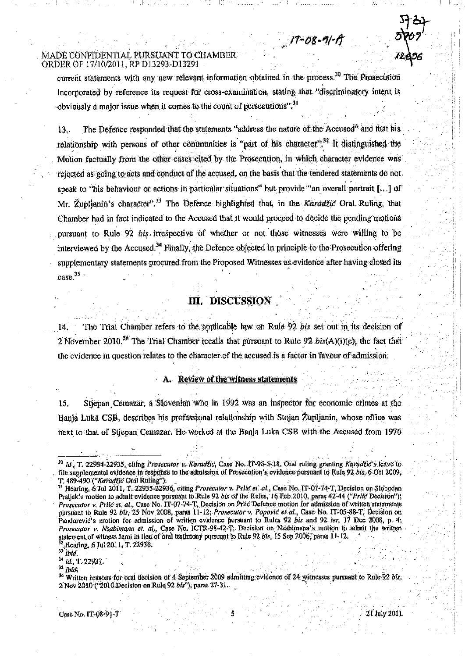current statements with any new relevant information obtained in the process.<sup>30</sup> The Prosecution incorporated by reference its request for cross-examination, stating that "discriminatory intent is obviously a major issue when it comes to the count of persecutions<sup>1</sup>.<sup>31</sup>

 $17 - 08 - 9/ - A$ 

The Defence responded that the statements "address the nature of the Accused" and that his  $13.$ relationship with persons of other communities is "part of his character".<sup>32</sup> It distinguished the Motion factually from the other cases cited by the Prosecution, in which character evidence was rejected as going to acts and conduct of the accused, on the basis that the tendered statements do not. speak to "his behaviour or actions in particular situations" but provide "an overall portrait [...] of Mr. Župlianin's character<sup>y, 33</sup> The Defence highlighted that, in the *Karadžić* Oral Ruling, that Chamber had in fact indicated to the Accused that it would proceed to decide the pending motions pursuant to Rule 92 bis irrespective of whether or not those witnesses were willing to be interviewed by the Accused.<sup>34</sup> Finally, the Defence objected in principle to the Prosecution offering supplementary statements procured from the Proposed Witnesses as evidence after having closed its  $case<sup>35</sup>$ 

# III. DISCUSSION

The Trial Chamber refers to the applicable law on Rule 92 bis set out in its decision of  $14<sup>2</sup>$ 2 November 2010.<sup>36</sup> The Trial Chamber recalls that pursuant to Rule 92  $\hat{b}$ *is*(A)(i)(e), the fact that the evidence in question relates to the character of the accused is a factor in favour of admission.

#### A. Review of the witness statements

Stiepan Cemazar, a Slovenian who in 1992 was an inspector for economic crimes at the 15. Banja Luka CSB, describes his professional relationship with Stojan Župljanin, whose office was next to that of Stjepan Cemazar. He worked at the Banja Luka CSB with the Accused from 1976

 $33$  *lbid.* 

 $^{34}$  Id., T. 22937.

 $35$  *lbid.* 

<sup>&</sup>lt;sup>30</sup> Id., T. 22934-22935, citing Prosecutor v. Karadžić, Case No. IT-95-5-18, Oral ruling granting Karadžić v leave (o. file supplemental evidence in response to the admission of Prosecution's evidence pursuant to Rule 92 bts. 6 Oct 2009,

T. 489-490 ("Karadžia Oral Ruling").<br><sup>31</sup> Hearing, 6 Jul 2011, T. 22935-22936, citing Prosecutor v. Priid et. al., Case No. II-07-74-T. Decision on Slobodan Prallak's motion to admit evidence pursuant to Rule 92 bis of the Rules, 16 Feb 2010, paras 42-44 ("Prile Decision"); Prosecutor v. Prlić et. al., Case No. IT-07-74-T. Decision on Prlić Defence motion for admission of written statements pursuant to Rule 92 bis, 25 Nov 2008, paras 11-12; Prosecutor v. Popović et al., Case No. IT-05-88-T, Decision on Pandurevic's motion for admission of written evidence pursuant to Rules 92 bis and 92 ter, 17 Dec 2008, p. 4. Prosecutor v. Nsabimana et. al., Case No. ICTR-98-42-T, Decision on Nsabimana's motion to admit the written statement of witness Jami in lieu of oral testimony pursuant to Rule 92 bls. 15 Sep 2006, paras 11-12. Hearing, 6 Jul 2011, T. 22936.

<sup>&</sup>lt;sup>36</sup> Written reasons for oral decision of 4 September 2009 admitting evidence of 24 witnesses pursuant to Rule 92 bis, 2 Nov 2010 ('2010 Decision on Rule 92 bis"), paras 27-31.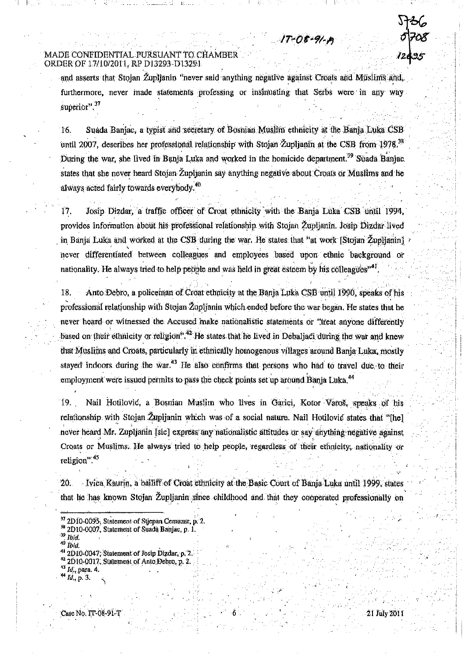and asserts that Stolan Zuplianin "never said anything negative against Croats and Muslims and furthermore, never made statements professing or insimuating that Serbs were in any way superior",  $37$ 

 $17 - 08 - 91$ 

Suada Banjac, a typist and secretary of Bosnian Muslim ethnicity at the Banja Luka CSB  $16.$ until 2007, describes her professional relationship with Stojan Zuplianin at the CSB from 1978.<sup>38</sup> During the war, she lived in Banja Luka and worked in the homicide department.<sup>39</sup> Suada Banjac states that she never heard Stojan Župljanin say anything negative about Croats or Muslims and he always acted fairly towards everybody.<sup>40</sup>

Josip Dizdar, a traffic officer of Croat ethnicity with the Banja Luka CSB until 1994,  $17<sub>1</sub>$ provides information about his professional relationship with Stojan Zupljanin. Josip Dizdar lived in Banja Luka and worked at the CSB during the war. He states that "at work [Stojan ŽupHanjn] never differentiated between colleagues and employees based upon ethnic background or nationality. He always tried to help people and was held in great esteem by his colleagues<sup>"41</sup>

Anto Debro, a policeman of Croat ethnicity at the Banja Luka CSB until 1990, speaks of his 18. professional relationship with Stojan Zupljanin which ended before the war began. He states that he never heard or witnessed the Accused make nationalistic statements or "treat anyone differently based on their ethnicity or religion",<sup>42</sup> He states that he lived in Debaljaci during the war and knew that Muslims and Croats, particularly in ethnically homogenous villages around Banja Luka, mostly stayed indoors during the war.<sup>43</sup> He also confirms that persons who had to travel due to their employment were issued permits to pass the check points set up around Banja Luka.<sup>44</sup>

Nail Hotilović, a Bosnian Muslim who lives in Garici, Kotor Varoš, speaks of his 19. relationship with Stojan Zuplianin which was of a social nature. Nail Hotilovic states that "[he] never heard Mr. Zupljanin [sic] express any nationalistic attitudes or say anything negative against Croats or Muslims. He always tried to help people, regardless of their ethnicity, nationality or religion".<sup>45</sup>

Vica Kaurin, a bailiff of Croat ethnicity at the Basic Court of Banja Luka until 1999, states 20. that he has known Stojan Zuplianin since childhood and that they cooperated professionally on

<sup>42</sup> 2D10-0017. Statement of Anto Debro, p. 2.

<sup>&</sup>lt;sup>7</sup> 2D10-0095, Statement of Stjepan Cemazar, p. 2.

<sup>2</sup>D10-0007, Statement of Suada Banjac, p. 1.

Ibid.  $^0$  Toid.

<sup>2</sup>D10-0047. Statement of Josip Dizdar, p. 2.

 $^{43}$  Id., para. 4.

<sup>&</sup>lt;sup>44</sup> Id., p. 3.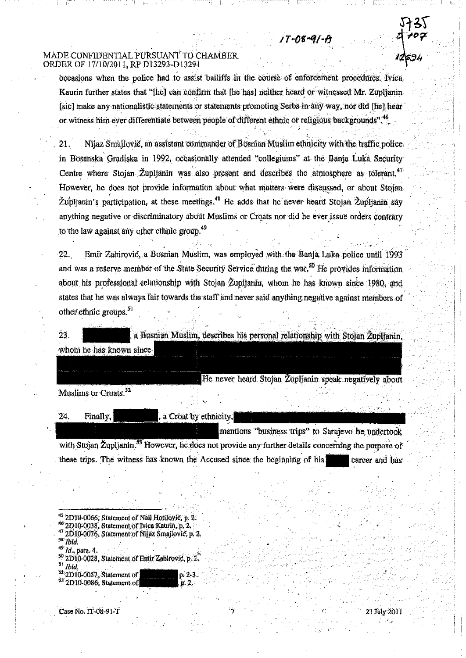occasions when the police had to assist bailiffs in the course of enforcement procedures. Ivica, Kaurin further states that "[he] can confirm that [he has] neither heard or witnessed Mr. Zuplianin [sic] make any nationalistic statements or statements promoting Serbs in any way, nor did [fie] hear or witness him ever differentiate between people of different ethnic or religious backgrounds".<sup>46</sup>

 $17 - 08 - 91 - P$ 

Nijaz Smallović, an assistant commander of Bosman Muslim ethnicity with the traffic police  $21.$ in Bosanska Gradiska in 1992, occasionally attended "collegiums" at the Banja Luka Security Centre where Stojan Župljanin was also present and describes the atmosphere as tolerant.<sup>47</sup> However, he does not provide information about what matters were discussed, or about Stojan Župljanin's participation, at these meetings.<sup>48</sup> He adds that he never heard Stojan Župljanin say anything negative or discriminatory about Muslims or Croats nor did he ever issue orders contrary to the law against any other ethnic group.<sup>49</sup>

Emir Zahirović, a Bosnian Muslim, was employed with the Bania Luka police until 1993  $22.$ and was a reserve member of the State Security Service during the war.<sup>50</sup> He provides information about his professional relationship with Stojan Zupljanin, whom he has known since 1980, and states that he was always fair towards the staff and never said anything negative against members of other ethnic groups,  $51$ 

23.

a Bosnian Muslim, describes his personal relationship with Stojan Zupljanin, whom he has known since.

He never heard Stojan Zupljanin speak negatively about

Muslims or Croats.<sup>52</sup>

24. Finally, , a Croat by ethnicity. mentions "business trips" to Sarajevo he undertook with Stojan Župljanin.<sup>53</sup> However, he does not provide any further details concerning the purpose of

these trips. The witness has known the Accused since the beginning of his career and has

 $p:2.3$ 

- <sup>45</sup> 2D10-0066, Statement of Nail Hotilovic, p. 2.
- <sup>46</sup> 2D10-0038, Statement of Ivica Kaurin, p. 2.
- $^{47}$  2D10-0076, Statement of Nijaz Smajlovic, p. 2.
- <sup>34</sup> Ibla.
- *ld.*, para. 4. 2D10-0028, Statement of Emir Zahlrović, p. 2.
- Ibid.

2D10-0057, Statement of 2D10-0086. Statement of

Case No. 11-08-91-T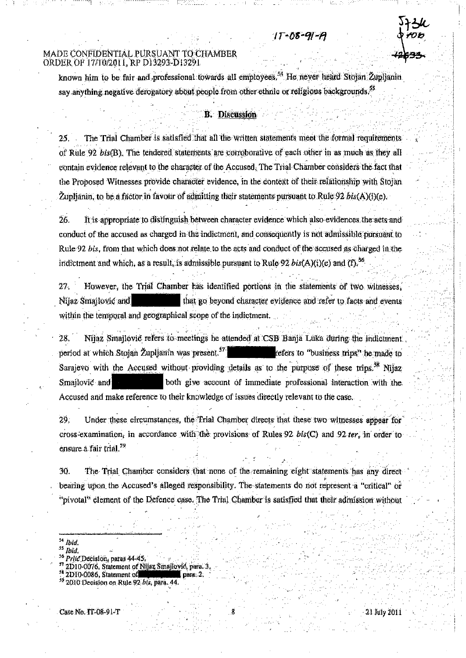#### $1T - 08 - 91 - F$

#### MADE CONFIDENTIAL PURSUANT TO CHAMBER ORDER OF 17/10/2011. RP D13293-D13291

known him to be fair and professional towards all employees.<sup>54</sup> He never heard Stojan Zuplianin say anything negative derogatory about people from other ethnic or religious backgrounds.<sup>55</sup>

#### **B.** Discussion

The Trial Chamber is satisfied that all the written statements meet the formal requirements of Rule 92 bis(B). The tendered statements are corroborative of each other in as much as they all contain evidence relevant to the character of the Accused. The Trial Chamber considers the fact that the Proposed Witnesses provide character evidence, in the context of their relationship with Stojan Župljanin, to be a factor in favour of admitting their statements pursuant to Rule 92 bls(A)(t)(e).

26. It is appropriate to distinguish between character evidence which also evidences the acts and conduct of the accused as charged in the indictment, and consequently is not admissible pursuant to Rule 92 bis, from that which does not relate to the acts and conduct of the accused as charged in the indictment and which, as a result, is admissible pursuant to Rule 92 bis(A)(i)(e) and (f).<sup>56</sup>

 $27.$ However, the Trial Chamber has identified portions in the statements of two witnesses, that go beyond character evidence and refer to facts and events Nijaz Smajlović and within the temporal and geographical scope of the indictment.

Nijaz Smajlović refers to meetings he attended at CSB Banja Luka during the indictment 28. period at which Stojan Župljanin was present.<sup>57</sup> refers to "business trips" he made to Sarajevo with the Accused without providing details as to the purpose of these trips.<sup>58</sup> Nijaz both give account of immediate professional interaction with the Smallovic and Accused and make reference to their knowledge of issues directly relevant to the case.

29. Under these circumstances, the Trial Chamber directs that these two witnesses appear for cross-examination, in accordance with the provisions of Rules 92 bis(C) and 92 ter, in order to ensure a fair trial.<sup>59</sup>

The Trial Chamber considers that none of the remaining eight statements has any direct 30. bearing upon the Accused's alleged responsibility. The statements do not represent a "critical" or "pivotal" element of the Defence case. The Trial Chamber is satisfied that their admission without

İbia.

Ibid,

Prite Decision, paras 44-45.

<sup>2</sup>D10-0076, Statement of Nijaz Smajlović, para. 3,

<sup>2</sup>D10-0086, Statement of

<sup>2010</sup> Decision on Rule 92 bis, para. 44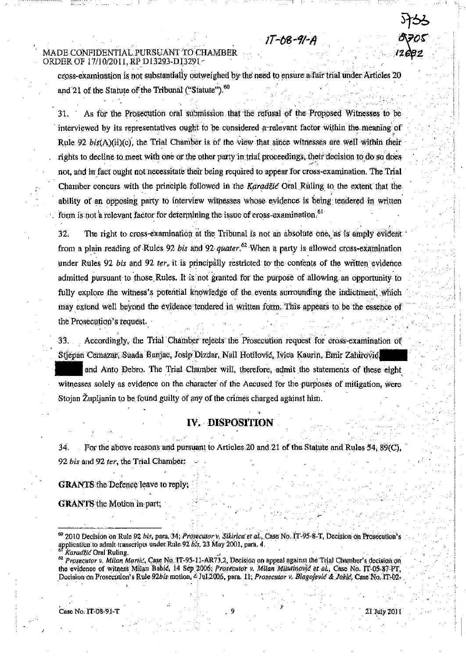$17 - 08 - 9/ - 1$ 

cross-examination is not substantially outweighed by the need to ensure a fair trial under Articles 20 and 21 of the Statute of the Tribunal ("Statute").<sup>60</sup>

As for the Prosecution oral submission that the refusal of the Proposed Witnesses to be 31. interviewed by its representatives ought to be considered a relevant factor within the meaning of Rule 92 bis(A)(h)(c), the Trial Chamber is of the view that since witnesses are well within their rights to decline to meet with one or the other party in trial proceedings, their decision to do so does not, and in fact ought not necessitate their being required to appear for cross-examination. The Trial Chamber concurs with the principle followed in the Karadžić Oral Ruling to the extent that the ability of an opposing party to interview witnesses whose evidence is being tendered in written form is not a relevant factor for determining the issue of cross-examination.<sup>51</sup>

 $32.$ The right to cross-examination at the Tribunal is not an absolute one, as is amply evident from a plain reading of Rules 92 bis and 92 quater.<sup>62</sup> When a party is allowed cross-examination under Rules 92 bis and 92 ter, it is principally restricted to the contents of the written evidence admitted pursuant to those Rules. It is not granted for the purpose of allowing an opportunity to fully explore the witness's potential knowledge of the events surrounding the indictment, which may extend well beyond the evidence tendered in written form. This appears to be the essence of the Prosecution's request.

Accordingly, the Trial Chamber rejects the Prosecution request for cross-examination of 33. Stjepan Cemazar, Suada Banjac, Josip Dizdar, Nail Hotilović, Ivica Kaurin, Emir Zahirović, and Anto Debro. The Trial Chamber will, therefore, admit the statements of these eight

witnesses solely as evidence on the character of the Accused for the purposes of mitigation, were Stojan Župlianin to be found guilty of any of the crimes charged against him.

# IV. DISPOSITION

34. For the above reasons and pursuant to Articles 20 and 21 of the Statute and Rules 54, 89(C). 92 bis and 92 ter, the Trial Chamber:

**GRANTS** the Defence leave to reply,

**GRANTS** the Motion in part;

Karadžić Oral Ruling.

62 Prosecutor v. Milan Martic, Case No. 1T-95-11-AR73.2, Decision on appeal against the Trial Chamber's decision on the evidence of witness Milan Bable, 14 Sep 2006; Prosecutor v. Milan Milutinovic et al., Case No. IT-05-87-PT, Decision on Prosecution's Rule 92bls motion, 4 Jul 2006, para. 11; Prosecutor v. Blagofević & Joklé, Case No. 17-02-

Caso No. IT-08-91-T

<sup>60 2010</sup> Decision on Rule 92 bis, para, 34; Prosecutor v. Sikirica et al., Case No. 11-95-8-T, Decision on Prosecution's application to admit transcripts under Rule 92 bls, 23 May 2001, para. 4.